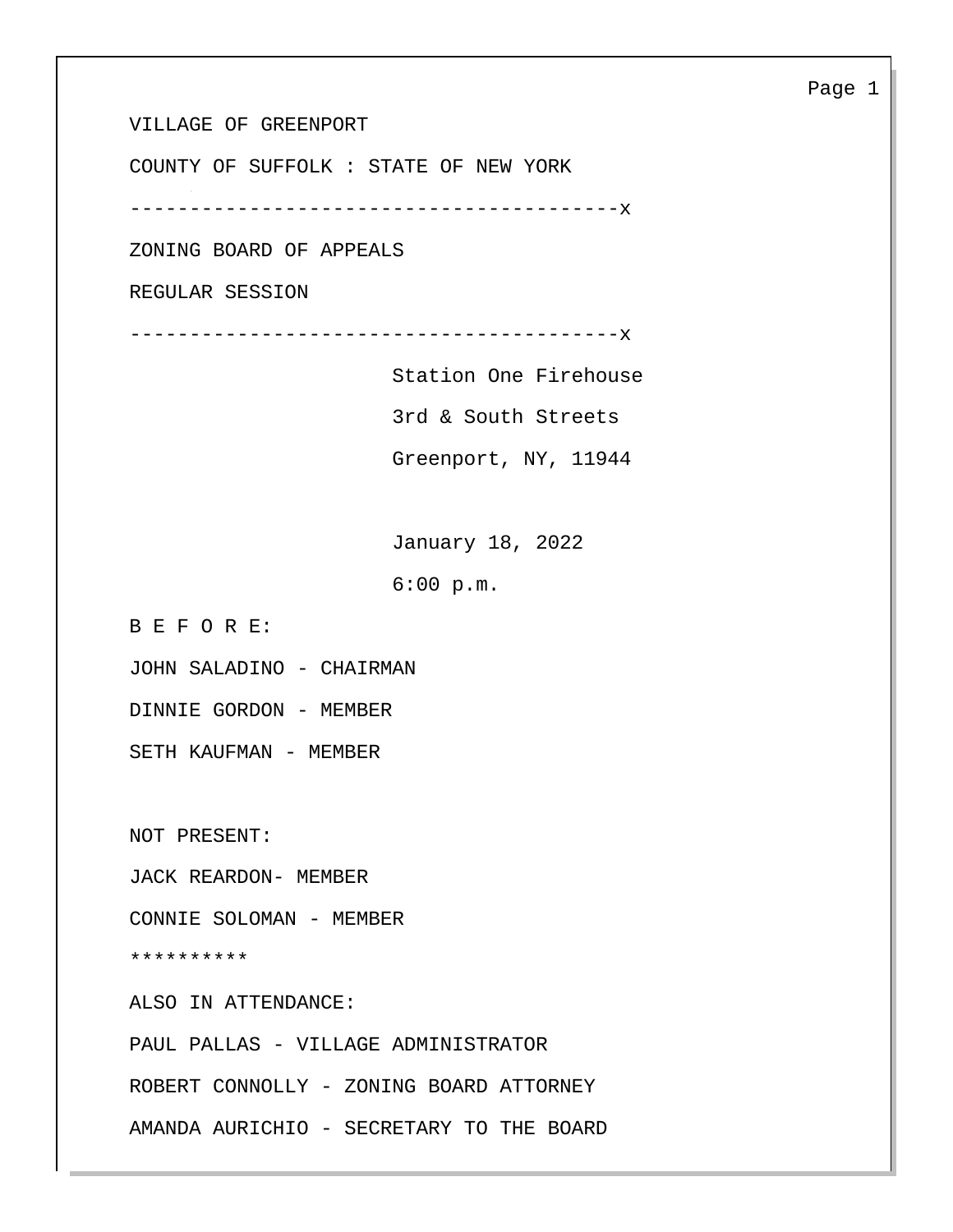VILLAGE OF GREENPORT

COUNTY OF SUFFOLK : STATE OF NEW YORK

-----------------------------------------x

ZONING BOARD OF APPEALS

REGULAR SESSION

-----------------------------------------x

 Station One Firehouse 3rd & South Streets Greenport, NY, 11944

 January 18, 2022 6:00 p.m.

B E F O R E:

JOHN SALADINO - CHAIRMAN

DINNIE GORDON - MEMBER

SETH KAUFMAN - MEMBER

NOT PRESENT:

JACK REARDON- MEMBER

CONNIE SOLOMAN - MEMBER

\*\*\*\*\*\*\*\*\*\*

ALSO IN ATTENDANCE:

PAUL PALLAS - VILLAGE ADMINISTRATOR

ROBERT CONNOLLY - ZONING BOARD ATTORNEY

AMANDA AURICHIO - SECRETARY TO THE BOARD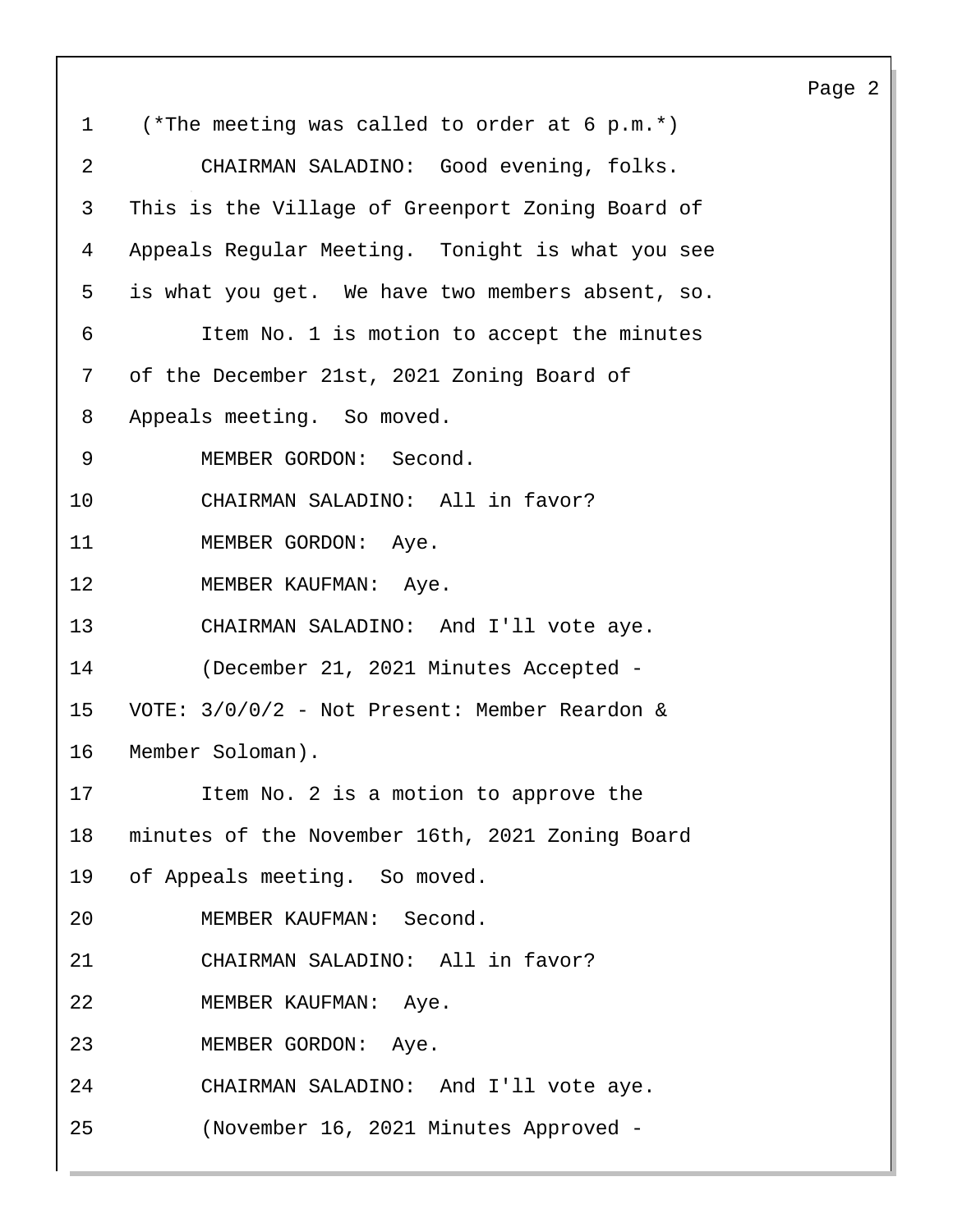1 (\*The meeting was called to order at 6 p.m.\*) 2 CHAIRMAN SALADINO: Good evening, folks. 3 This is the Village of Greenport Zoning Board of 4 Appeals Regular Meeting. Tonight is what you see 5 is what you get. We have two members absent, so. 6 Item No. 1 is motion to accept the minutes 7 of the December 21st, 2021 Zoning Board of 8 Appeals meeting. So moved. 9 MEMBER GORDON: Second. 10 CHAIRMAN SALADINO: All in favor? 11 MEMBER GORDON: Aye. 12 MEMBER KAUFMAN: Aye. 13 CHAIRMAN SALADINO: And I'll vote aye. 14 (December 21, 2021 Minutes Accepted - 15 VOTE: 3/0/0/2 - Not Present: Member Reardon & 16 Member Soloman). 17 Item No. 2 is a motion to approve the 18 minutes of the November 16th, 2021 Zoning Board 19 of Appeals meeting. So moved. 20 MEMBER KAUFMAN: Second. 21 CHAIRMAN SALADINO: All in favor? 22 MEMBER KAUFMAN: Aye. 23 MEMBER GORDON: Aye. 24 CHAIRMAN SALADINO: And I'll vote aye. 25 (November 16, 2021 Minutes Approved -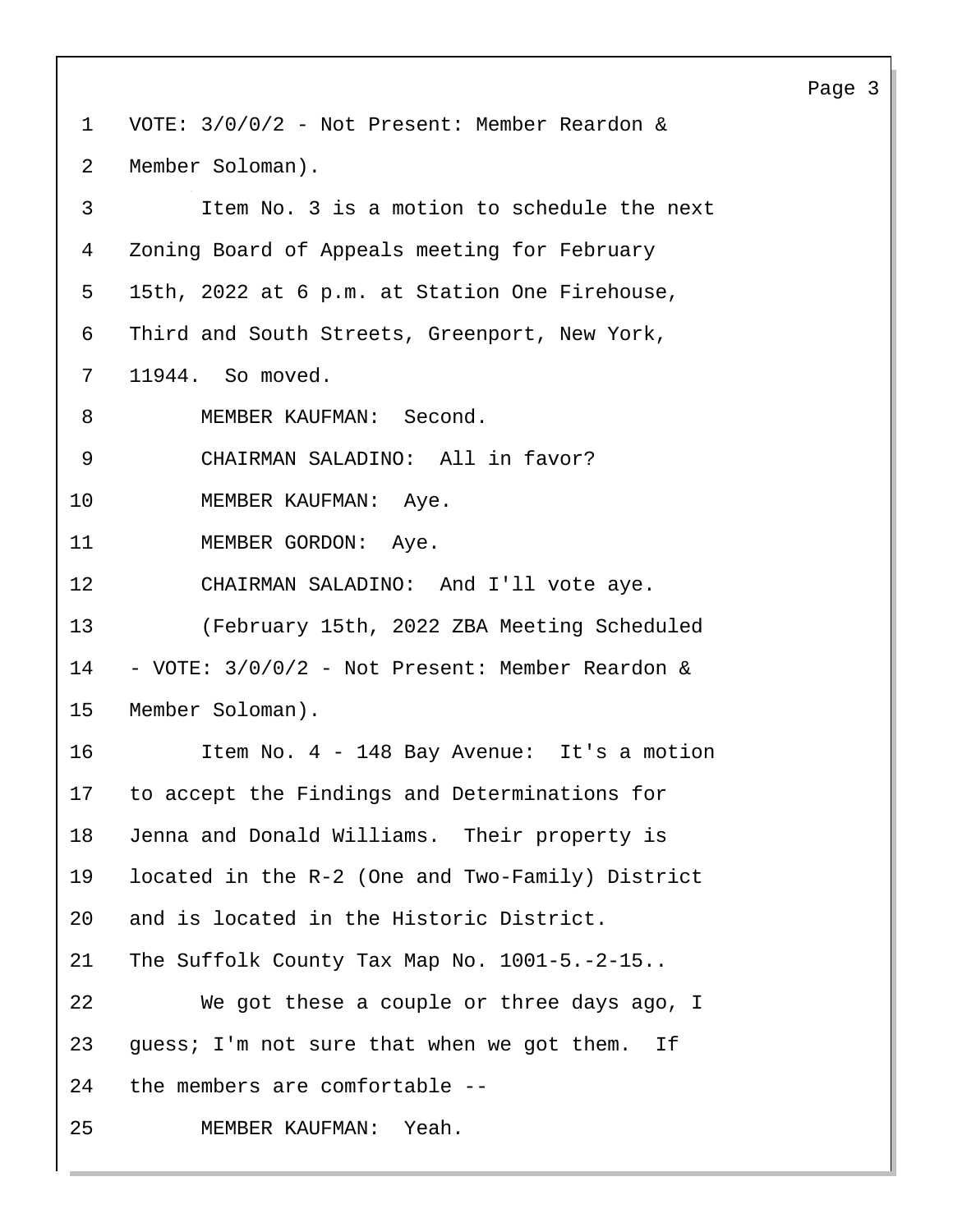1 VOTE: 3/0/0/2 - Not Present: Member Reardon & 2 Member Soloman). 3 Item No. 3 is a motion to schedule the next 4 Zoning Board of Appeals meeting for February 5 15th, 2022 at 6 p.m. at Station One Firehouse, 6 Third and South Streets, Greenport, New York, 7 11944. So moved. 8 MEMBER KAUFMAN: Second. 9 CHAIRMAN SALADINO: All in favor? 10 MEMBER KAUFMAN: Aye. 11 MEMBER GORDON: Aye. 12 CHAIRMAN SALADINO: And I'll vote aye. 13 (February 15th, 2022 ZBA Meeting Scheduled 14 - VOTE: 3/0/0/2 - Not Present: Member Reardon & 15 Member Soloman). 16 Item No. 4 - 148 Bay Avenue: It's a motion 17 to accept the Findings and Determinations for 18 Jenna and Donald Williams. Their property is 19 located in the R-2 (One and Two-Family) District 20 and is located in the Historic District. 21 The Suffolk County Tax Map No. 1001-5.-2-15.. 22 We got these a couple or three days ago, I 23 guess; I'm not sure that when we got them. If 24 the members are comfortable -- 25 MEMBER KAUFMAN: Yeah.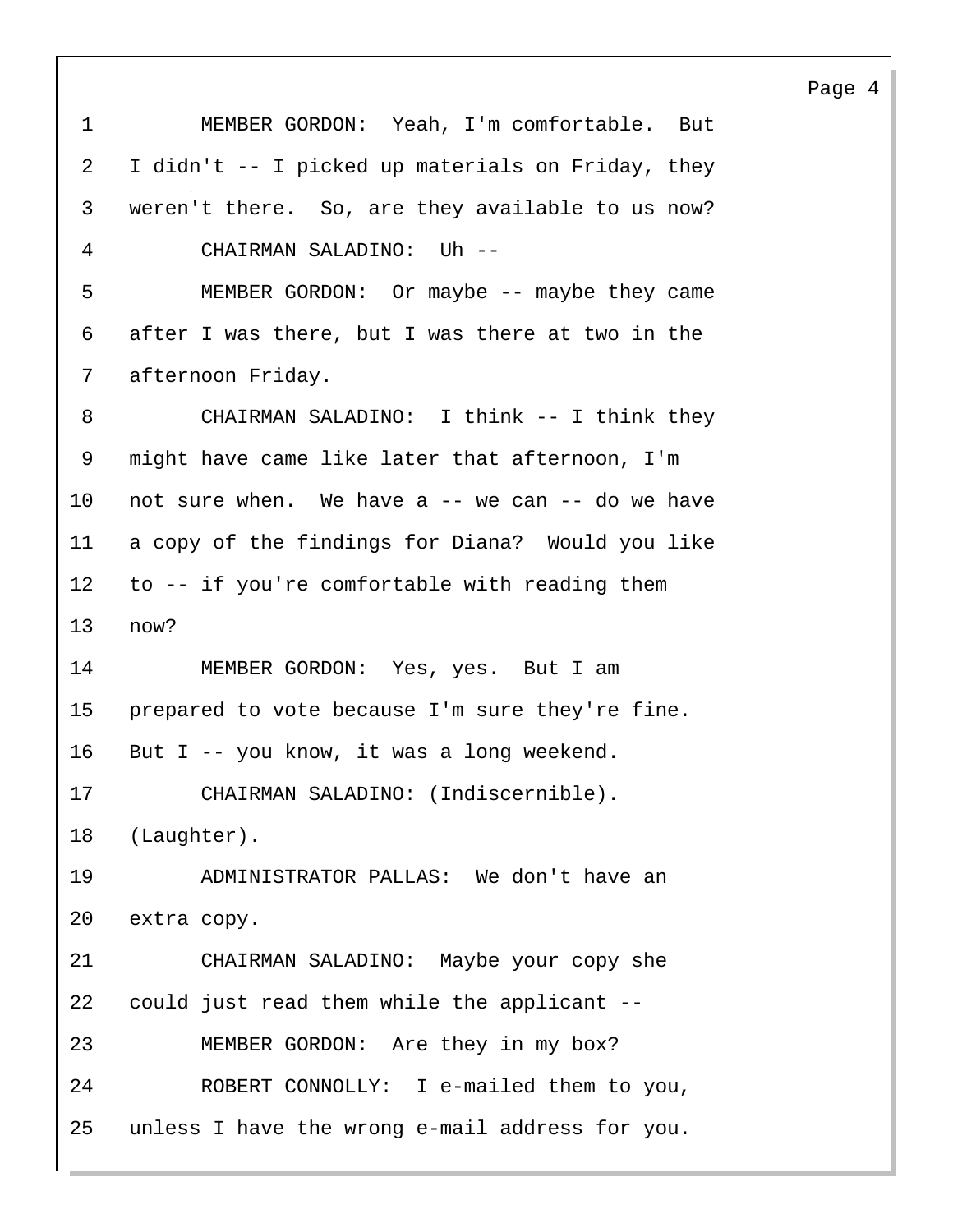1 MEMBER GORDON: Yeah, I'm comfortable. But 2 I didn't -- I picked up materials on Friday, they 3 weren't there. So, are they available to us now? 4 CHAIRMAN SALADINO: Uh -- 5 MEMBER GORDON: Or maybe -- maybe they came 6 after I was there, but I was there at two in the 7 afternoon Friday. 8 CHAIRMAN SALADINO: I think -- I think they 9 might have came like later that afternoon, I'm 10 not sure when. We have a -- we can -- do we have 11 a copy of the findings for Diana? Would you like 12 to -- if you're comfortable with reading them 13 now? 14 MEMBER GORDON: Yes, yes. But I am 15 prepared to vote because I'm sure they're fine. 16 But I -- you know, it was a long weekend. 17 CHAIRMAN SALADINO: (Indiscernible). 18 (Laughter). 19 ADMINISTRATOR PALLAS: We don't have an 20 extra copy. 21 CHAIRMAN SALADINO: Maybe your copy she 22 could just read them while the applicant -- 23 MEMBER GORDON: Are they in my box? 24 ROBERT CONNOLLY: I e-mailed them to you, 25 unless I have the wrong e-mail address for you.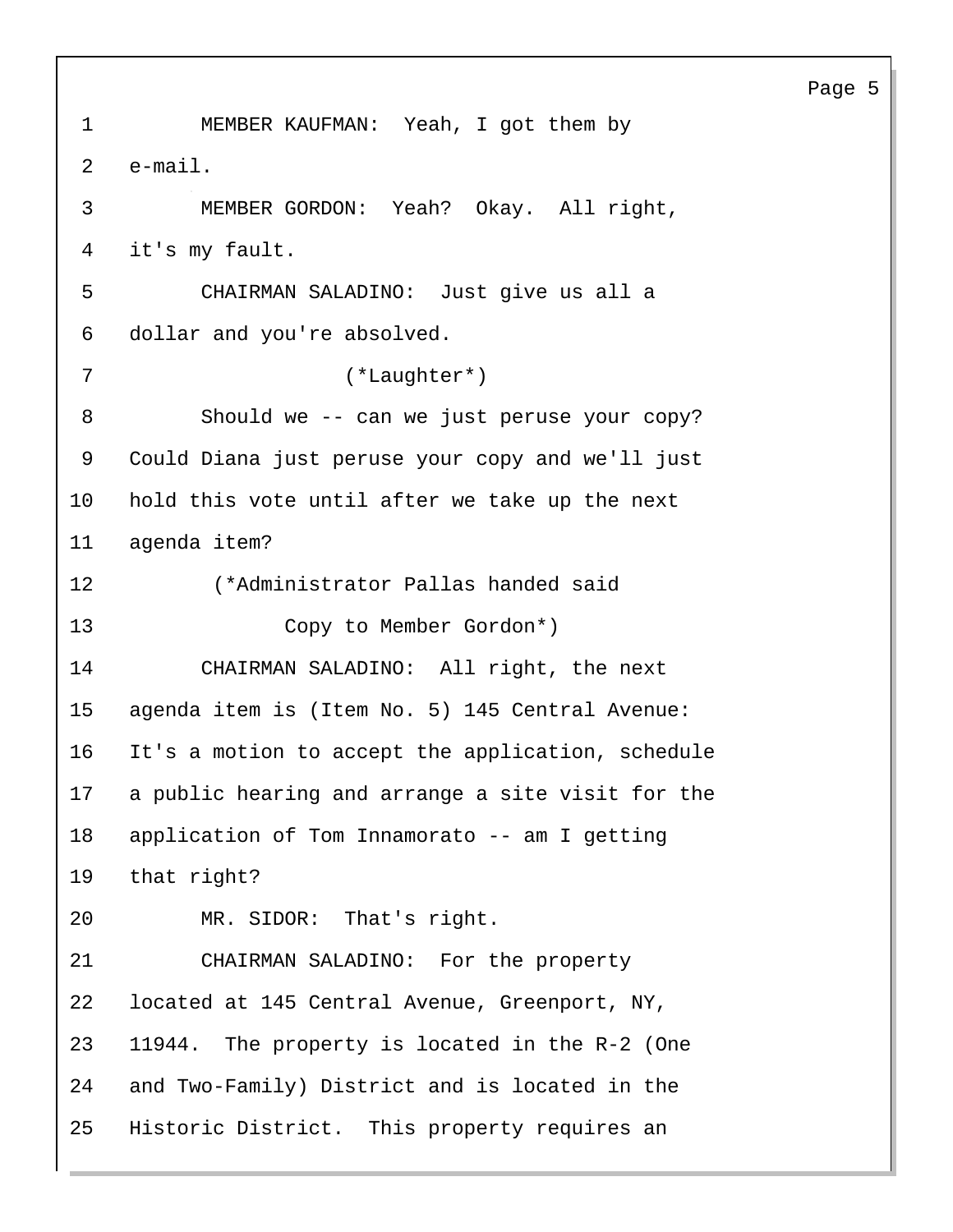1 MEMBER KAUFMAN: Yeah, I got them by 2 e-mail. 3 MEMBER GORDON: Yeah? Okay. All right, 4 it's my fault. 5 CHAIRMAN SALADINO: Just give us all a 6 dollar and you're absolved. 7 (\*Laughter\*) 8 Should we -- can we just peruse your copy? 9 Could Diana just peruse your copy and we'll just 10 hold this vote until after we take up the next 11 agenda item? 12 (\*Administrator Pallas handed said 13 Copy to Member Gordon\*) 14 CHAIRMAN SALADINO: All right, the next 15 agenda item is (Item No. 5) 145 Central Avenue: 16 It's a motion to accept the application, schedule 17 a public hearing and arrange a site visit for the 18 application of Tom Innamorato -- am I getting 19 that right? 20 MR. SIDOR: That's right. 21 CHAIRMAN SALADINO: For the property 22 located at 145 Central Avenue, Greenport, NY, 23 11944. The property is located in the R-2 (One 24 and Two-Family) District and is located in the 25 Historic District. This property requires an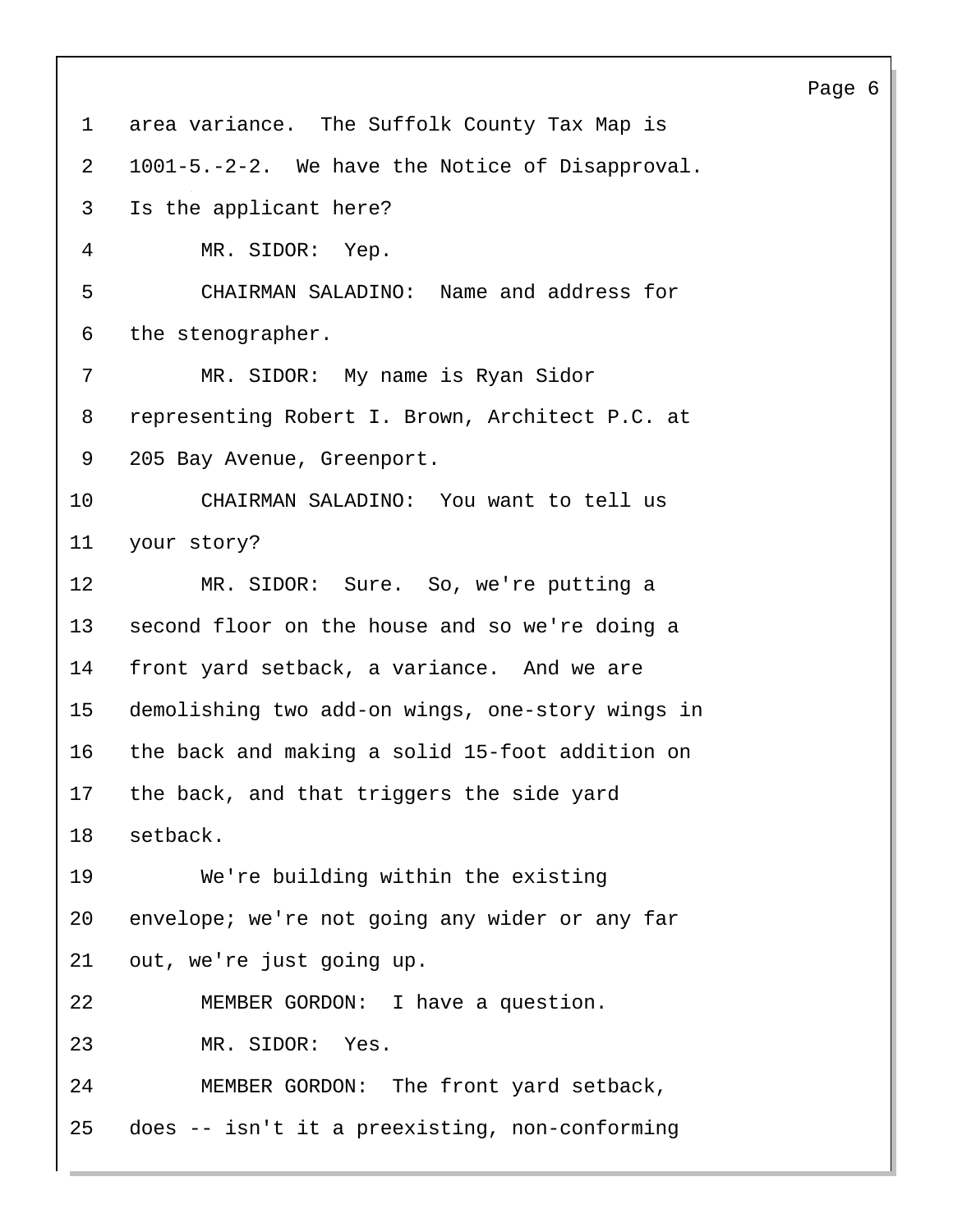| $\mathbf 1$    | area variance. The Suffolk County Tax Map is     |
|----------------|--------------------------------------------------|
| $\overline{2}$ | 1001-5.-2-2. We have the Notice of Disapproval.  |
| 3              | Is the applicant here?                           |
| 4              | MR. SIDOR: Yep.                                  |
| 5              | CHAIRMAN SALADINO: Name and address for          |
| 6              | the stenographer.                                |
| 7              | MR. SIDOR: My name is Ryan Sidor                 |
| 8              | representing Robert I. Brown, Architect P.C. at  |
| 9              | 205 Bay Avenue, Greenport.                       |
| 10             | CHAIRMAN SALADINO: You want to tell us           |
| 11             | your story?                                      |
| 12             | MR. SIDOR: Sure. So, we're putting a             |
| 13             | second floor on the house and so we're doing a   |
| 14             | front yard setback, a variance. And we are       |
| 15             | demolishing two add-on wings, one-story wings in |
| 16             | the back and making a solid 15-foot addition on  |
| 17             | the back, and that triggers the side yard        |
| 18             | setback.                                         |
| 19             | We're building within the existing               |
| 20             | envelope; we're not going any wider or any far   |
| 21             | out, we're just going up.                        |
| 22             | MEMBER GORDON: I have a question.                |
| 23             | MR. SIDOR: Yes.                                  |
| 24             | MEMBER GORDON: The front yard setback,           |
| 25             | does -- isn't it a preexisting, non-conforming   |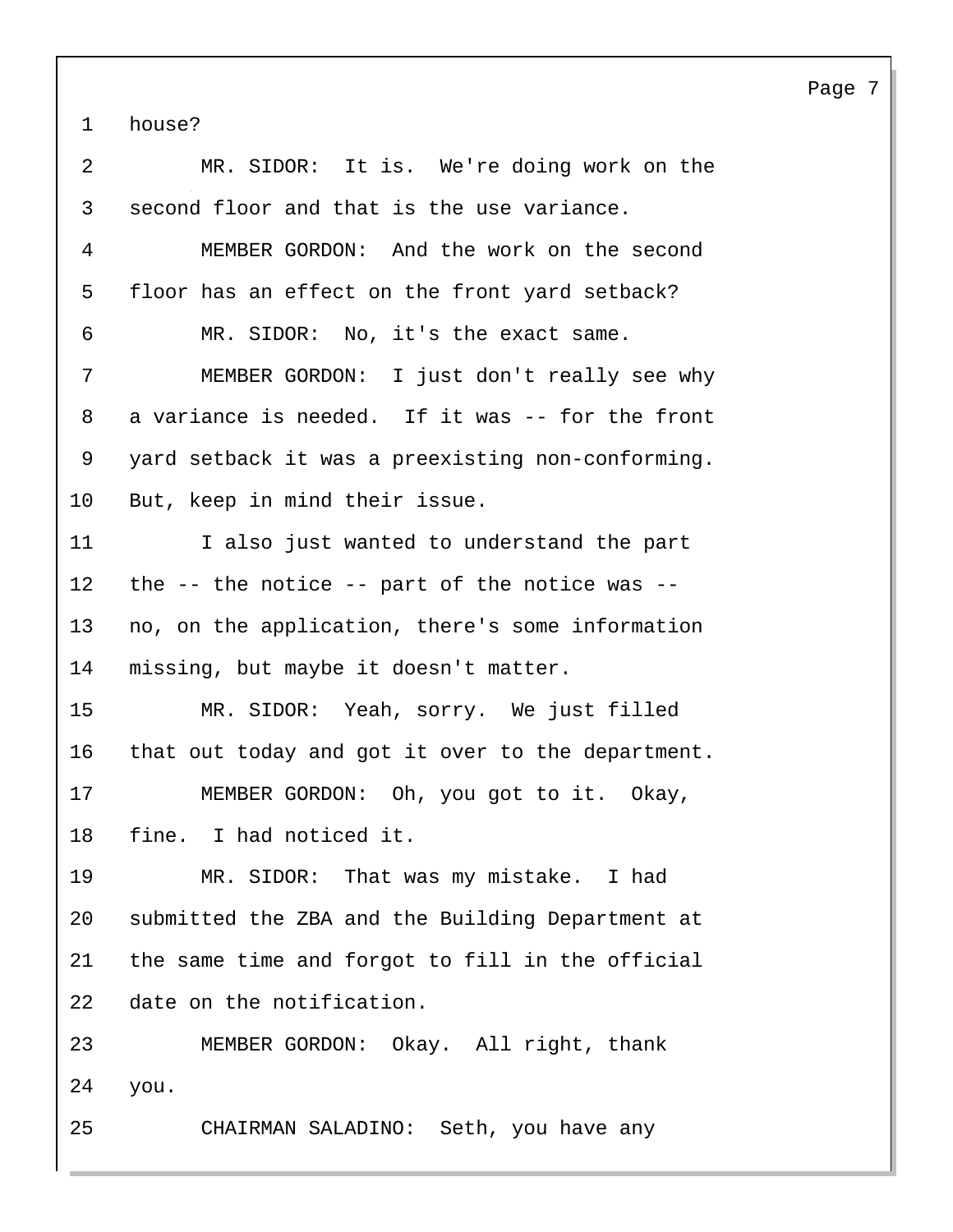1 house?

| $\overline{2}$ | MR. SIDOR: It is. We're doing work on the            |
|----------------|------------------------------------------------------|
| 3              | second floor and that is the use variance.           |
| 4              | MEMBER GORDON: And the work on the second            |
| 5              | floor has an effect on the front yard setback?       |
| 6              | MR. SIDOR: No, it's the exact same.                  |
| 7              | MEMBER GORDON: I just don't really see why           |
| 8              | a variance is needed. If it was -- for the front     |
| 9              | yard setback it was a preexisting non-conforming.    |
| 10             | But, keep in mind their issue.                       |
| 11             | I also just wanted to understand the part            |
| 12             | the $--$ the notice $--$ part of the notice was $--$ |
| 13             | no, on the application, there's some information     |
| 14             | missing, but maybe it doesn't matter.                |
| 15             | MR. SIDOR: Yeah, sorry. We just filled               |
| 16             | that out today and got it over to the department.    |
| 17             | MEMBER GORDON: Oh, you got to it. Okay,              |
| 18             | fine. I had noticed it.                              |
| 19             | MR. SIDOR: That was my mistake. I had                |
| 20             | submitted the ZBA and the Building Department at     |
| 21             | the same time and forgot to fill in the official     |
| 22             | date on the notification.                            |
| 23             | MEMBER GORDON: Okay. All right, thank                |
| 24             | you.                                                 |
| 25             | CHAIRMAN SALADINO: Seth, you have any                |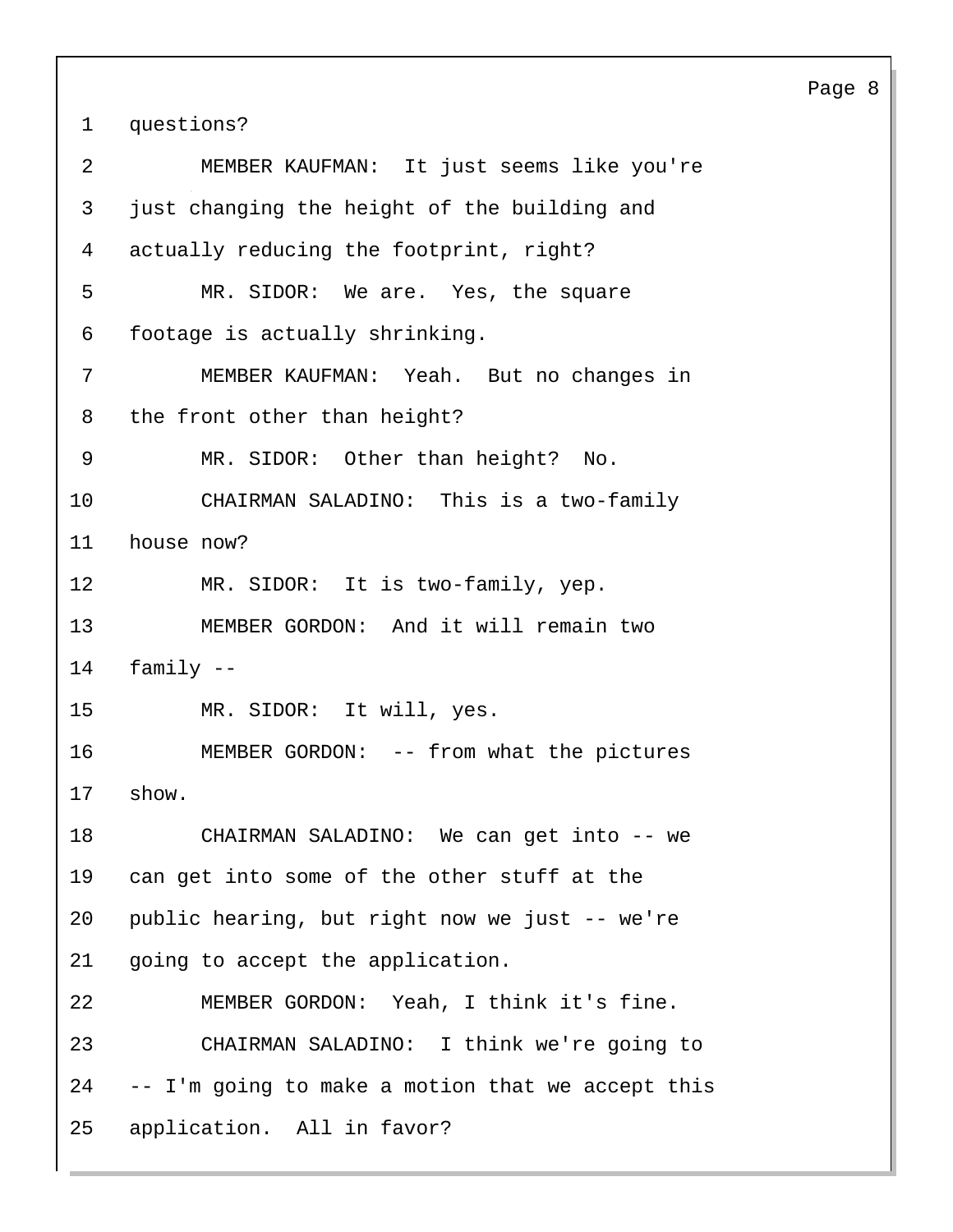1 questions?

| $\overline{2}$ | MEMBER KAUFMAN: It just seems like you're         |
|----------------|---------------------------------------------------|
| 3              | just changing the height of the building and      |
| 4              | actually reducing the footprint, right?           |
| 5              | MR. SIDOR: We are. Yes, the square                |
| 6              | footage is actually shrinking.                    |
| 7              | MEMBER KAUFMAN: Yeah. But no changes in           |
| 8              | the front other than height?                      |
| 9              | MR. SIDOR: Other than height? No.                 |
| 10             | CHAIRMAN SALADINO: This is a two-family           |
| 11             | house now?                                        |
| 12             | MR. SIDOR: It is two-family, yep.                 |
| 13             | MEMBER GORDON: And it will remain two             |
| 14             | family $--$                                       |
| 15             | MR. SIDOR: It will, yes.                          |
|                |                                                   |
| 16             | MEMBER GORDON: -- from what the pictures          |
| 17             | show.                                             |
| 18             | CHAIRMAN SALADINO: We can get into -- we          |
| 19             | can get into some of the other stuff at the       |
| 20             | public hearing, but right now we just -- we're    |
| 21             | going to accept the application.                  |
| 22             | MEMBER GORDON: Yeah, I think it's fine.           |
| 23             | CHAIRMAN SALADINO: I think we're going to         |
| 24             | -- I'm going to make a motion that we accept this |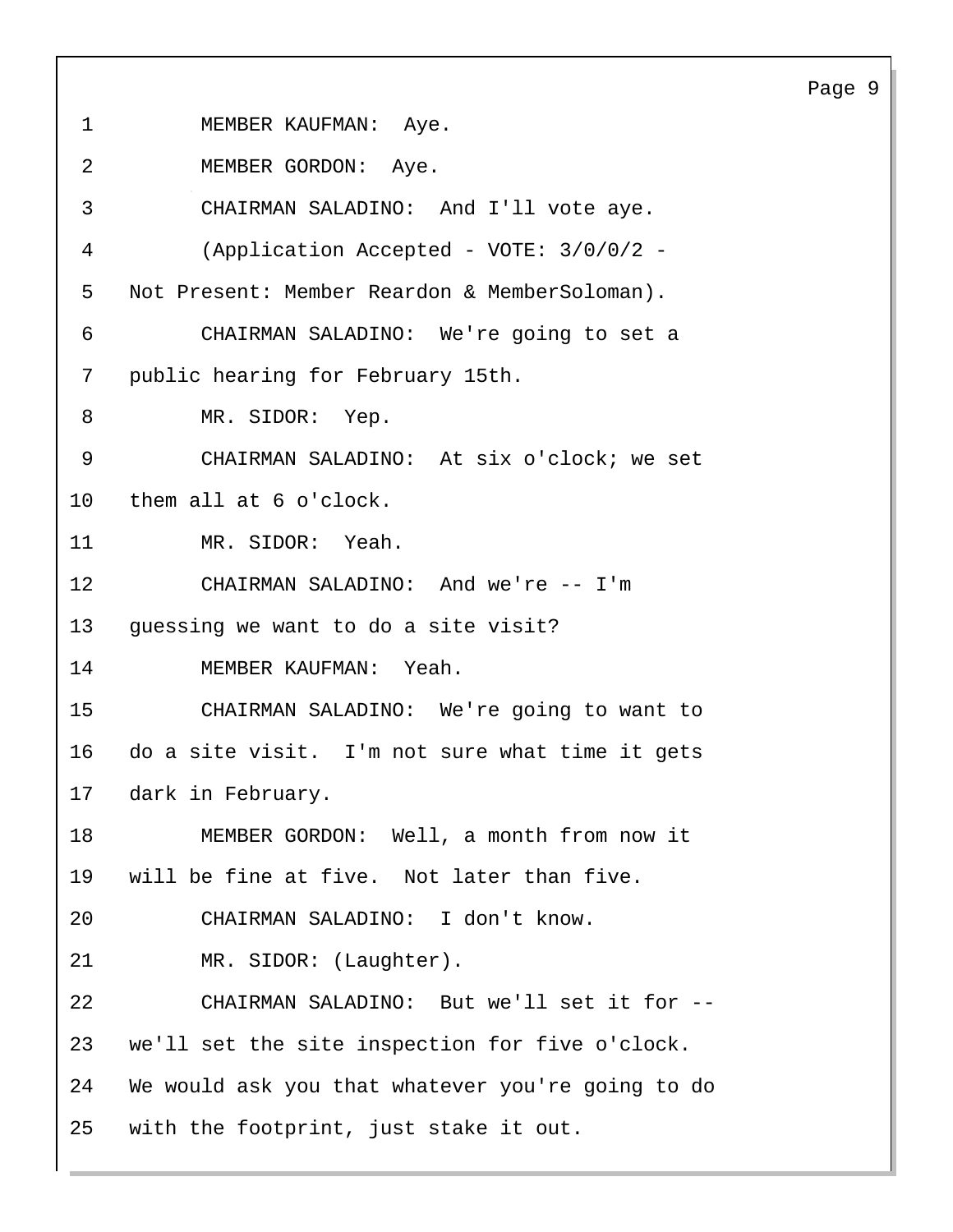1 MEMBER KAUFMAN: Aye. 2 MEMBER GORDON: Aye. 3 CHAIRMAN SALADINO: And I'll vote aye. 4 (Application Accepted - VOTE: 3/0/0/2 - 5 Not Present: Member Reardon & MemberSoloman). 6 CHAIRMAN SALADINO: We're going to set a 7 public hearing for February 15th. 8 MR. SIDOR: Yep. 9 CHAIRMAN SALADINO: At six o'clock; we set 10 them all at 6 o'clock. 11 MR. SIDOR: Yeah. 12 CHAIRMAN SALADINO: And we're -- I'm 13 guessing we want to do a site visit? 14 MEMBER KAUFMAN: Yeah. 15 CHAIRMAN SALADINO: We're going to want to 16 do a site visit. I'm not sure what time it gets 17 dark in February. 18 MEMBER GORDON: Well, a month from now it 19 will be fine at five. Not later than five. 20 CHAIRMAN SALADINO: I don't know. 21 MR. SIDOR: (Laughter). 22 CHAIRMAN SALADINO: But we'll set it for -- 23 we'll set the site inspection for five o'clock. 24 We would ask you that whatever you're going to do 25 with the footprint, just stake it out.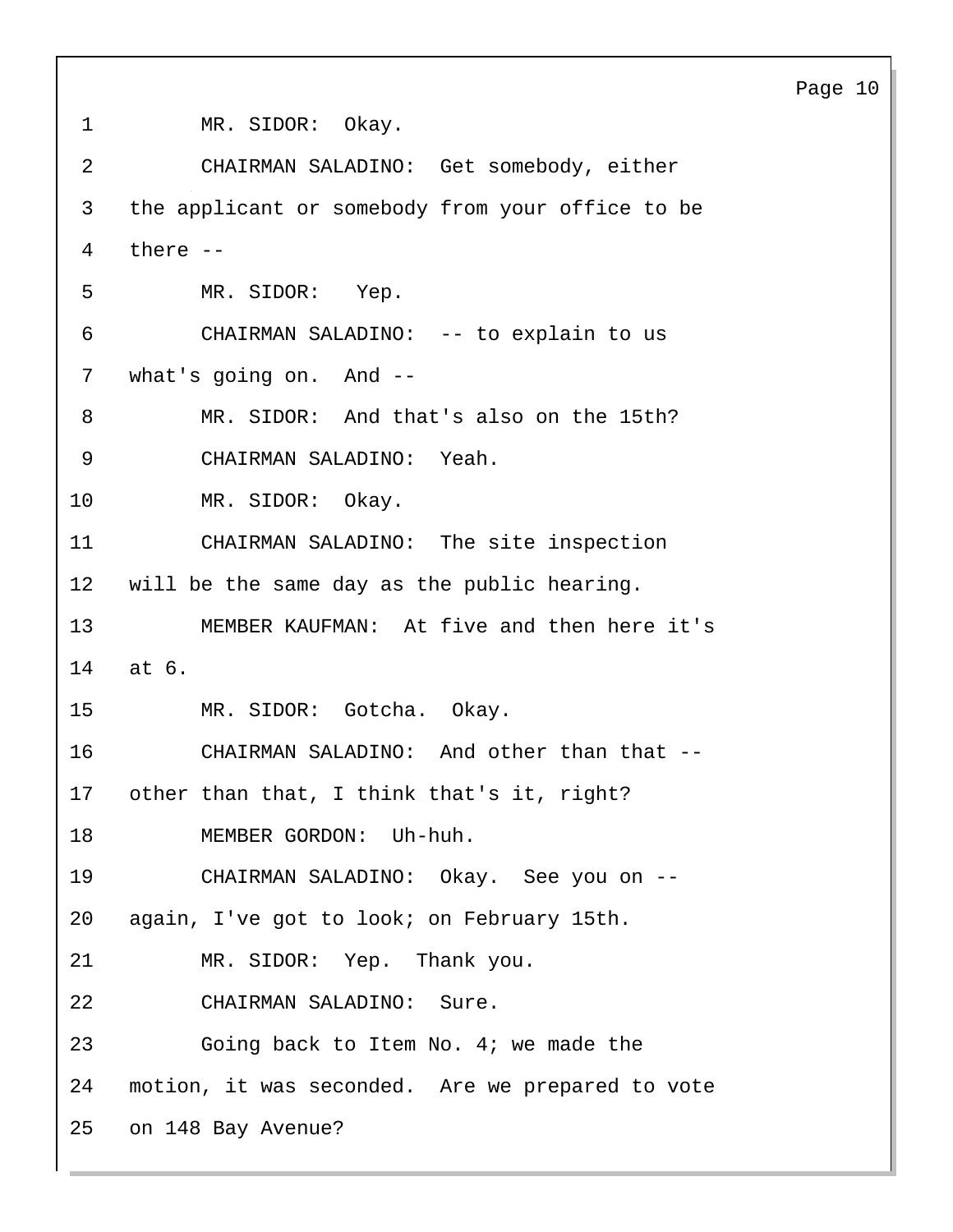1 MR. SIDOR: Okay. 2 CHAIRMAN SALADINO: Get somebody, either 3 the applicant or somebody from your office to be 4 there -- 5 MR. SIDOR: Yep. 6 CHAIRMAN SALADINO: -- to explain to us 7 what's going on. And -- 8 MR. SIDOR: And that's also on the 15th? 9 CHAIRMAN SALADINO: Yeah. 10 MR. SIDOR: Okay. 11 CHAIRMAN SALADINO: The site inspection 12 will be the same day as the public hearing. 13 MEMBER KAUFMAN: At five and then here it's 14 at 6. 15 MR. SIDOR: Gotcha. Okay. 16 CHAIRMAN SALADINO: And other than that -- 17 other than that, I think that's it, right? 18 MEMBER GORDON: Uh-huh. 19 CHAIRMAN SALADINO: Okay. See you on -- 20 again, I've got to look; on February 15th. 21 MR. SIDOR: Yep. Thank you. 22 CHAIRMAN SALADINO: Sure. 23 Going back to Item No. 4; we made the 24 motion, it was seconded. Are we prepared to vote 25 on 148 Bay Avenue?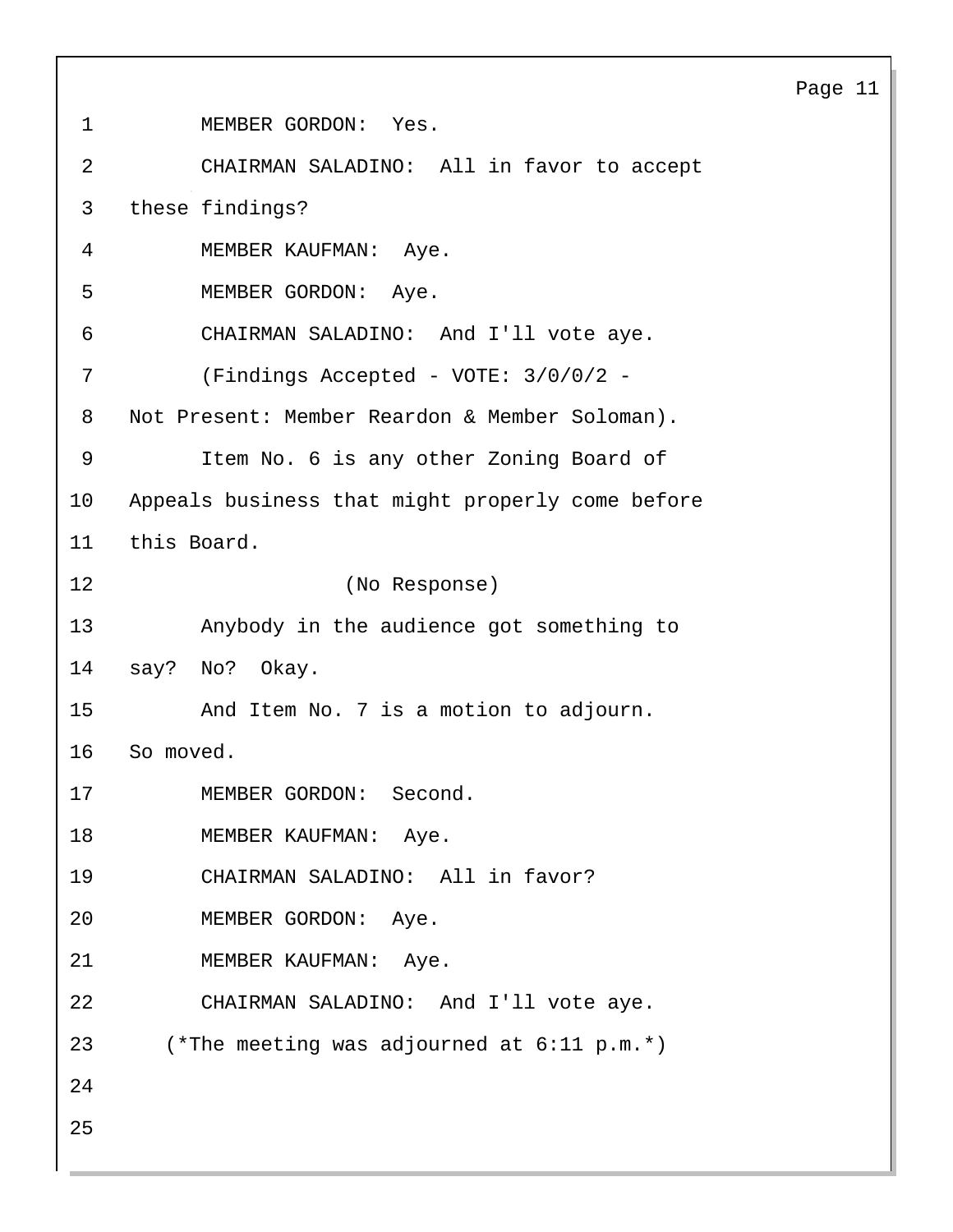| $\mathbf 1$ | MEMBER GORDON: Yes.                              |
|-------------|--------------------------------------------------|
| 2           | CHAIRMAN SALADINO: All in favor to accept        |
| 3           | these findings?                                  |
| 4           | MEMBER KAUFMAN: Aye.                             |
| 5           | MEMBER GORDON: Aye.                              |
| 6           | CHAIRMAN SALADINO: And I'll vote aye.            |
| 7           | (Findings Accepted - VOTE: 3/0/0/2 -             |
| 8           | Not Present: Member Reardon & Member Soloman).   |
| 9           | Item No. 6 is any other Zoning Board of          |
| 10          | Appeals business that might properly come before |
| 11          | this Board.                                      |
| 12          | (No Response)                                    |
| 13          | Anybody in the audience got something to         |
| 14          | say? No? Okay.                                   |
| 15          | And Item No. 7 is a motion to adjourn.           |
| 16          | So moved.                                        |
| 17          | MEMBER GORDON: Second.                           |
| 18          | MEMBER KAUFMAN: Aye.                             |
| 19          | CHAIRMAN SALADINO: All in favor?                 |
| 20          | MEMBER GORDON: Aye.                              |
| 21          | MEMBER KAUFMAN: Aye.                             |
| 22          | CHAIRMAN SALADINO: And I'll vote aye.            |
| 23          | (*The meeting was adjourned at $6:11$ p.m.*)     |
| 24          |                                                  |
| 25          |                                                  |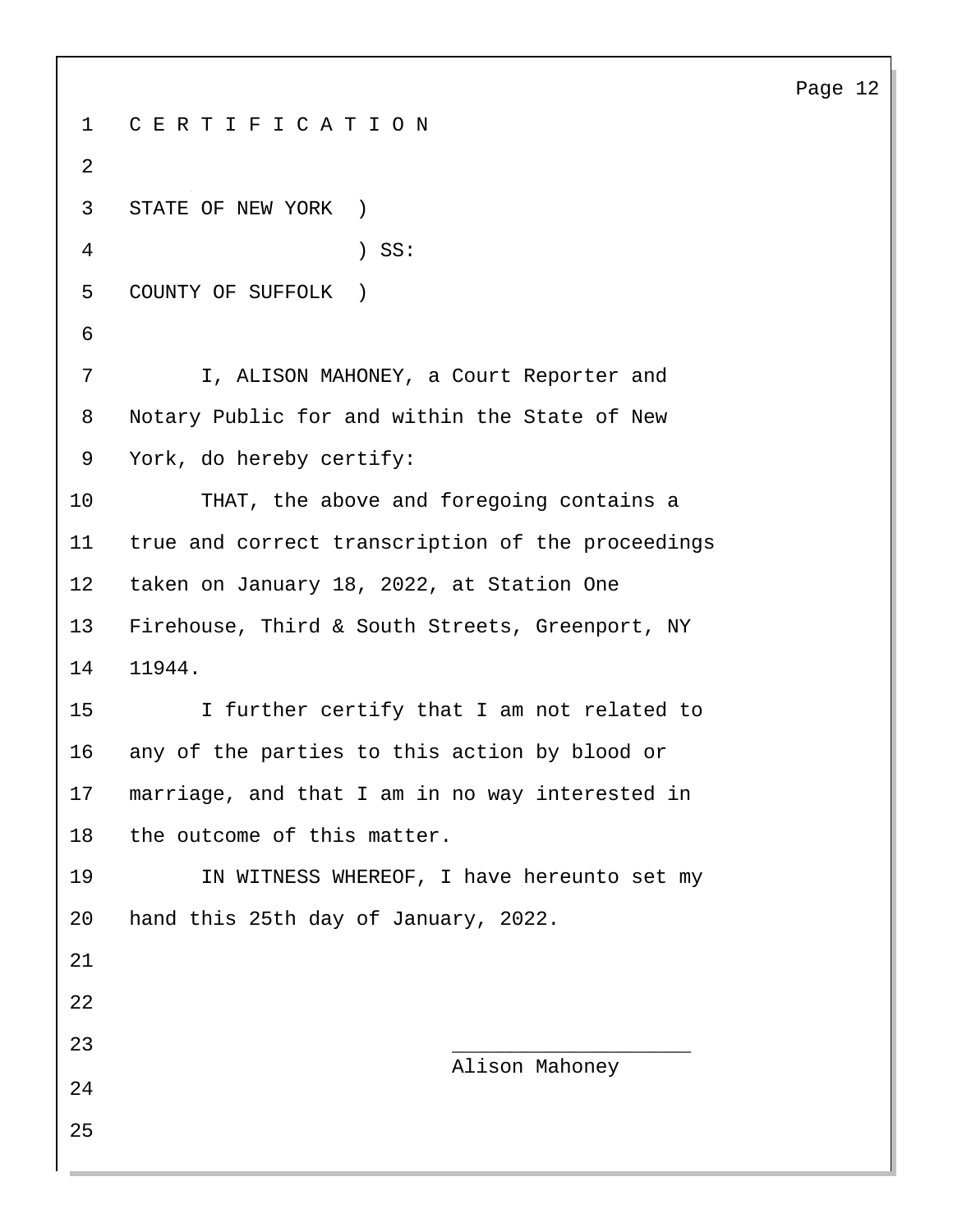| $\mathbf{1}$   | CERTIFICATION                                     |  |  |  |
|----------------|---------------------------------------------------|--|--|--|
| $\overline{2}$ |                                                   |  |  |  |
| 3              | STATE OF NEW YORK )                               |  |  |  |
| 4              | $)$ SS:                                           |  |  |  |
| 5              | COUNTY OF SUFFOLK )                               |  |  |  |
| 6              |                                                   |  |  |  |
| 7              | I, ALISON MAHONEY, a Court Reporter and           |  |  |  |
| 8              | Notary Public for and within the State of New     |  |  |  |
| 9              | York, do hereby certify:                          |  |  |  |
| 10             | THAT, the above and foregoing contains a          |  |  |  |
| 11             | true and correct transcription of the proceedings |  |  |  |
| $12 \,$        | taken on January 18, 2022, at Station One         |  |  |  |
| 13             | Firehouse, Third & South Streets, Greenport, NY   |  |  |  |
| 14             | 11944.                                            |  |  |  |
| 15             | I further certify that I am not related to        |  |  |  |
| 16             | any of the parties to this action by blood or     |  |  |  |
| 17             | marriage, and that I am in no way interested in   |  |  |  |
| 18             | the outcome of this matter.                       |  |  |  |
| 19             | IN WITNESS WHEREOF, I have hereunto set my        |  |  |  |
| 20             | hand this 25th day of January, 2022.              |  |  |  |
| 21             |                                                   |  |  |  |
| 22             |                                                   |  |  |  |
| 23             | Alison Mahoney                                    |  |  |  |
| 24             |                                                   |  |  |  |
| 25             |                                                   |  |  |  |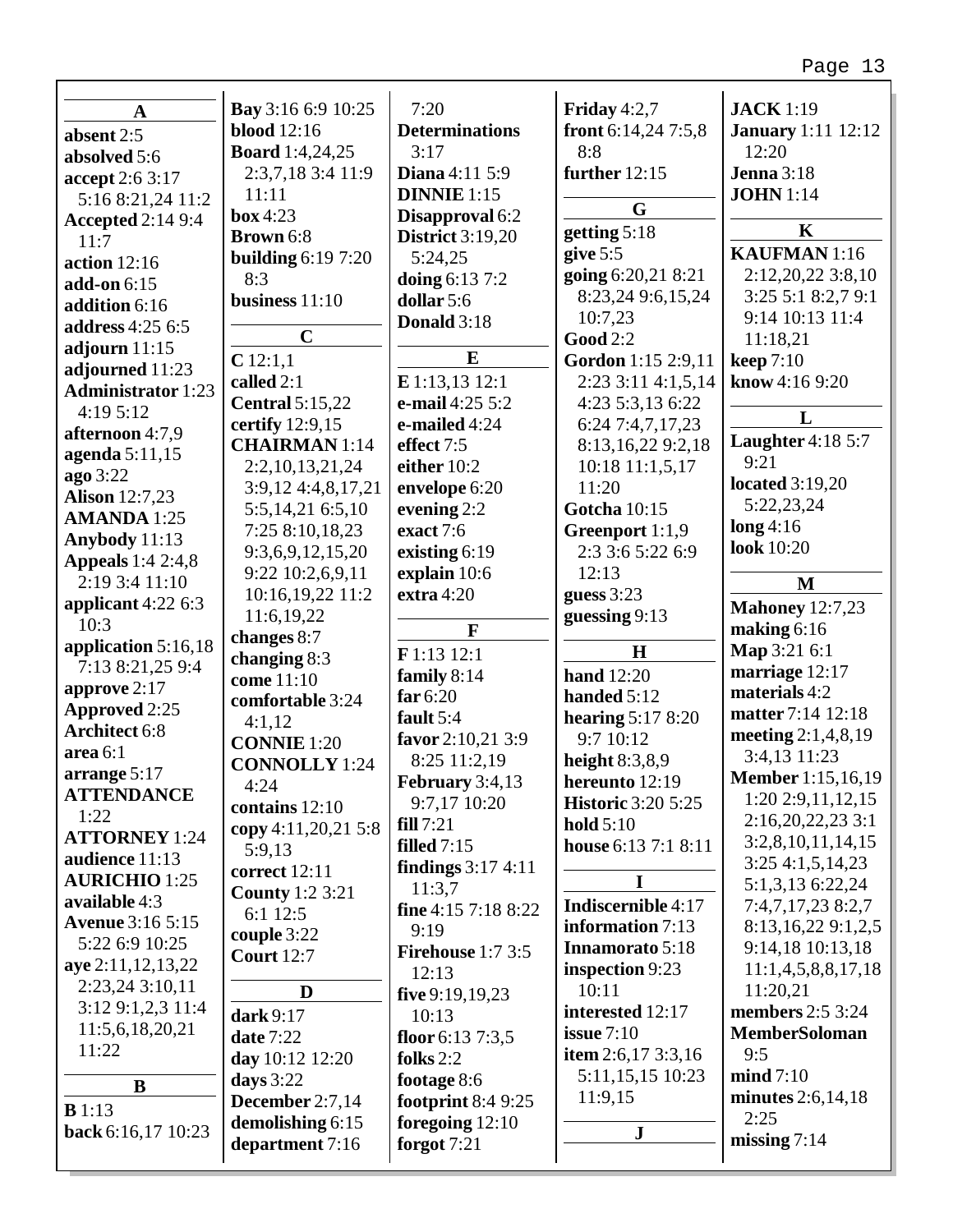| $\mathbf A$               | <b>Bay</b> 3:16 6:9 10:25 | 7:20                      | Friday $4:2,7$            | <b>JACK</b> 1:19               |
|---------------------------|---------------------------|---------------------------|---------------------------|--------------------------------|
| absent 2:5                | <b>blood</b> 12:16        | <b>Determinations</b>     | front 6:14,24 7:5,8       | <b>January</b> 1:11 12:12      |
| absolved 5:6              | <b>Board</b> 1:4,24,25    | 3:17                      | 8:8                       | 12:20                          |
| accept 2:6 3:17           | 2:3,7,18 3:4 11:9         | <b>Diana</b> 4:11 5:9     | further 12:15             | <b>Jenna</b> 3:18              |
| 5:16 8:21,24 11:2         | 11:11                     | <b>DINNIE</b> 1:15        |                           | <b>JOHN</b> 1:14               |
| <b>Accepted 2:14 9:4</b>  | box 4:23                  | Disapproval 6:2           | G                         |                                |
| 11:7                      | Brown 6:8                 | <b>District</b> 3:19,20   | getting 5:18              | $\mathbf K$                    |
| action $12:16$            | <b>building 6:19 7:20</b> | 5:24,25                   | give $5:5$                | <b>KAUFMAN</b> 1:16            |
| add-on 6:15               | 8:3                       | doing 6:13 7:2            | going 6:20,21 8:21        | 2:12,20,22 3:8,10              |
| addition 6:16             | business $11:10$          | dollar 5:6                | 8:23,24 9:6,15,24         | 3:25 5:1 8:2,7 9:1             |
| address 4:25 6:5          |                           | Donald 3:18               | 10:7,23                   | 9:14 10:13 11:4                |
| adjourn $11:15$           | $\mathbf C$               |                           | <b>Good 2:2</b>           | 11:18,21                       |
| adjourned 11:23           | $C$ 12:1,1                | $\bf{E}$                  | Gordon 1:15 2:9,11        | <b>keep</b> 7:10               |
| <b>Administrator</b> 1:23 | called 2:1                | E 1:13,13 12:1            | 2:23 3:11 4:1,5,14        | know 4:16 9:20                 |
| 4:19 5:12                 | <b>Central 5:15,22</b>    | e-mail 4:25 5:2           | 4:23 5:3,13 6:22          | L                              |
| afternoon 4:7,9           | certify 12:9,15           | e-mailed 4:24             | 6:24 7:4,7,17,23          |                                |
| agenda $5:11,15$          | <b>CHAIRMAN</b> 1:14      | effect 7:5                | 8:13,16,22 9:2,18         | <b>Laughter</b> 4:18 5:7       |
| ago 3:22                  | 2:2,10,13,21,24           | either 10:2               | 10:18 11:1,5,17           | 9:21<br><b>located</b> 3:19,20 |
| <b>Alison</b> 12:7,23     | 3:9,12 4:4,8,17,21        | envelope 6:20             | 11:20                     |                                |
| <b>AMANDA</b> 1:25        | 5:5,14,21 6:5,10          | evening 2:2               | <b>Gotcha</b> 10:15       | 5:22,23,24                     |
| Anybody 11:13             | 7:25 8:10,18,23           | exact 7:6                 | Greenport 1:1,9           | $\log 4:16$                    |
| <b>Appeals</b> 1:4 2:4,8  | 9:3,6,9,12,15,20          | existing 6:19             | 2:3 3:6 5:22 6:9          | look 10:20                     |
| 2:19 3:4 11:10            | 9:22 10:2,6,9,11          | explain 10:6              | 12:13                     | M                              |
| applicant $4:226:3$       | 10:16,19,22 11:2          | extra $4:20$              | guess 3:23                | <b>Mahoney</b> 12:7,23         |
| 10:3                      | 11:6,19,22                | $\mathbf{F}$              | guessing 9:13             | making $6:16$                  |
| application $5:16,18$     | changes 8:7               | F 1:13 12:1               | H                         | Map 3:21 6:1                   |
| 7:13 8:21,25 9:4          | changing 8:3              | family 8:14               | <b>hand</b> 12:20         | marriage 12:17                 |
| approve 2:17              | come 11:10                | far $6:20$                | handed 5:12               | materials 4:2                  |
| <b>Approved 2:25</b>      | comfortable 3:24          | fault 5:4                 | hearing $5:178:20$        | matter 7:14 12:18              |
| <b>Architect 6:8</b>      | 4:1,12                    | favor 2:10,21 3:9         | 9:7 10:12                 | meeting $2:1,4,8,19$           |
| area 6:1                  | <b>CONNIE</b> 1:20        | 8:25 11:2,19              | height $8:3,8,9$          | 3:4,13 11:23                   |
| arrange 5:17              | <b>CONNOLLY</b> 1:24      | February $3:4,13$         | hereunto 12:19            | <b>Member</b> 1:15,16,19       |
| <b>ATTENDANCE</b>         | 4:24                      | 9:7,17 10:20              | <b>Historic 3:20 5:25</b> | 1:20 2:9,11,12,15              |
| 1:22                      | contains 12:10            | fill 7:21                 | hold $5:10$               | 2:16,20,22,23 3:1              |
| <b>ATTORNEY 1:24</b>      | copy 4:11,20,21 5:8       | filled $7:15$             | house 6:13 7:1 8:11       | 3:2,8,10,11,14,15              |
| audience 11:13            | 5:9,13                    | <b>findings</b> 3:17 4:11 |                           | 3:254:1,5,14,23                |
| <b>AURICHIO 1:25</b>      | correct 12:11             | 11:3,7                    |                           | 5:1,3,13 6:22,24               |
| available 4:3             | <b>County</b> 1:2 3:21    | fine 4:15 7:18 8:22       | Indiscernible 4:17        | 7:4,7,17,23 8:2,7              |
| <b>Avenue</b> 3:16 5:15   | 6:1 12:5                  | 9:19                      | information 7:13          | 8:13,16,22 9:1,2,5             |
| 5:22 6:9 10:25            | couple 3:22               | Firehouse $1:73:5$        | Innamorato 5:18           | 9:14,18 10:13,18               |
| aye 2:11,12,13,22         | <b>Court</b> 12:7         | 12:13                     | inspection 9:23           | 11:1,4,5,8,8,17,18             |
| 2:23,24 3:10,11           | D                         | five $9:19,19,23$         | 10:11                     | 11:20,21                       |
| 3:12 9:1,2,3 11:4         | dark 9:17                 | 10:13                     | interested 12:17          | <b>members</b> 2:5 3:24        |
| 11:5,6,18,20,21           | <b>date 7:22</b>          | floor $6:137:3,5$         | issue $7:10$              | <b>MemberSoloman</b>           |
| 11:22                     | day 10:12 12:20           | folks $2:2$               | item $2:6,173:3,16$       | 9:5                            |
|                           | days $3:22$               | footage 8:6               | 5:11,15,15 10:23          | mid 7:10                       |
| B                         | December 2:7,14           | footprint $8:49:25$       | 11:9,15                   | minutes 2:6,14,18              |
| B1:13                     | demolishing 6:15          | foregoing $12:10$         |                           | 2:25                           |
| back 6:16,17 10:23        | department 7:16           | forgot $7:21$             | ${\bf J}$                 | missing $7:14$                 |
|                           |                           |                           |                           |                                |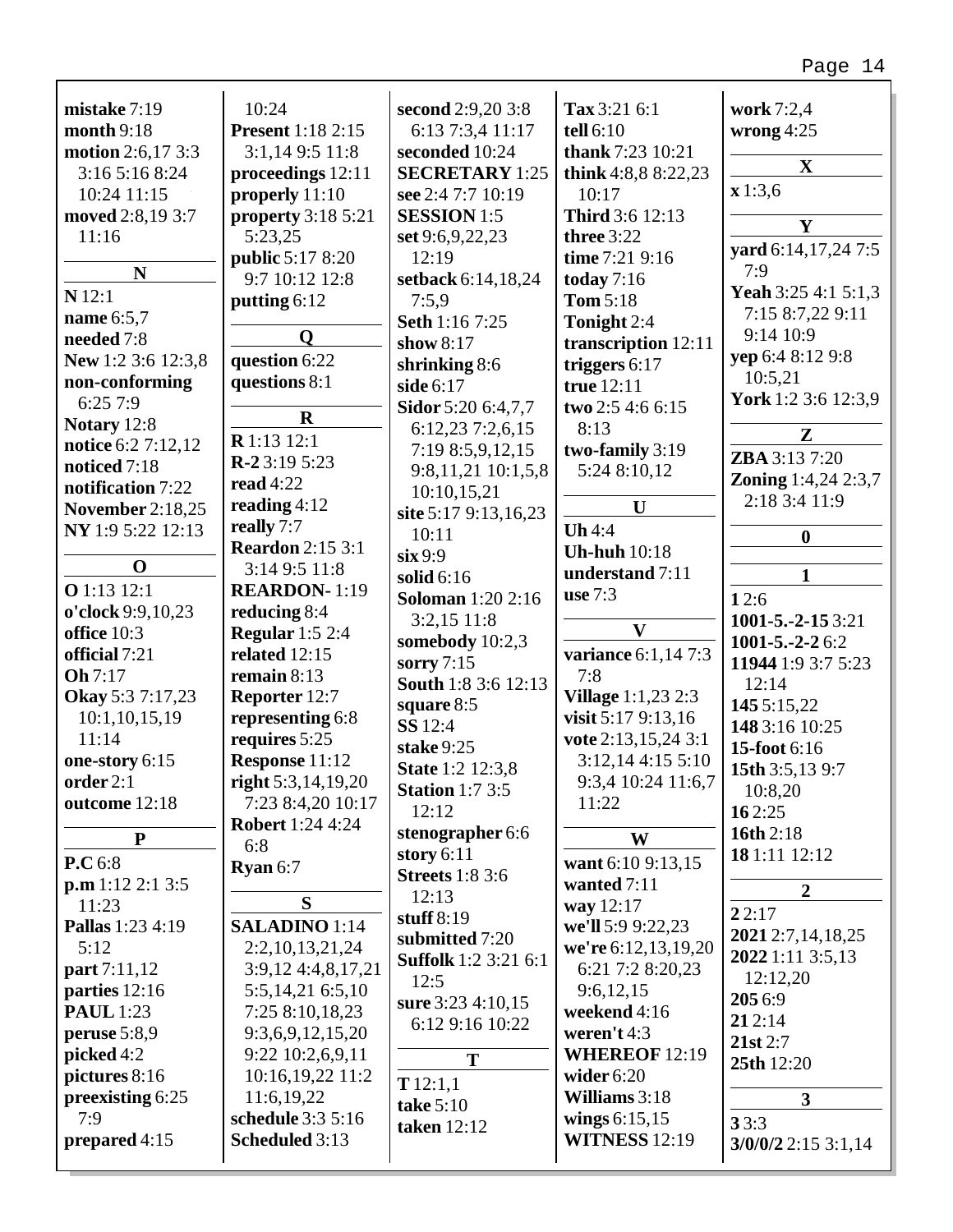| mistake 7:19             | 10:24                     | second 2:9,20 3:8           | Tax 3:21 6:1              | work 7:2,4                 |
|--------------------------|---------------------------|-----------------------------|---------------------------|----------------------------|
| month 9:18               | <b>Present</b> 1:18 2:15  | 6:13 7:3,4 11:17            | tell 6:10                 | wrong $4:25$               |
| <b>motion</b> 2:6,17 3:3 | 3:1,14 9:5 11:8           | seconded 10:24              | thank 7:23 10:21          |                            |
| 3:16 5:16 8:24           | proceedings 12:11         | <b>SECRETARY</b> 1:25       | think $4:8,88:22,23$      | $\mathbf X$                |
|                          |                           |                             |                           | x 1:3,6                    |
| 10:24 11:15              | properly 11:10            | see 2:4 7:7 10:19           | 10:17                     |                            |
| moved 2:8,19 3:7         | <b>property</b> 3:18 5:21 | <b>SESSION</b> 1:5          | <b>Third</b> 3:6 12:13    | Y                          |
| 11:16                    | 5:23,25                   | set 9:6, 9, 22, 23          | three 3:22                | yard 6:14,17,24 7:5        |
|                          | <b>public</b> 5:17 8:20   | 12:19                       | time 7:21 9:16            |                            |
| N                        | 9:7 10:12 12:8            | setback 6:14,18,24          | today $7:16$              | 7:9                        |
| $N$ 12:1                 | putting 6:12              | 7:5,9                       | <b>Tom 5:18</b>           | Yeah 3:25 4:1 5:1,3        |
| name 6:5,7               |                           | Seth 1:16 7:25              | Tonight 2:4               | 7:15 8:7,22 9:11           |
| needed 7:8               | Q                         | show $8:17$                 | transcription 12:11       | 9:14 10:9                  |
| New 1:2 3:6 12:3,8       | question 6:22             |                             |                           | yep 6:4 8:12 9:8           |
|                          |                           | shrinking 8:6               | triggers $6:17$           | 10:5,21                    |
| non-conforming           | questions 8:1             | side 6:17                   | true 12:11                | York 1:2 3:6 12:3,9        |
| 6:257:9                  | $\mathbf R$               | Sidor 5:20 6:4,7,7          | two 2:5 4:6 6:15          |                            |
| Notary 12:8              |                           | 6:12,23 7:2,6,15            | 8:13                      | ${\bf z}$                  |
| notice 6:2 7:12,12       | R 1:13 12:1               | 7:19 8:5,9,12,15            | two-family 3:19           |                            |
| noticed 7:18             | $R-23:195:23$             | 9:8,11,21 10:1,5,8          | 5:24 8:10,12              | ZBA 3:13 7:20              |
| notification 7:22        | read $4:22$               | 10:10,15,21                 |                           | <b>Zoning</b> 1:4,24 2:3,7 |
| <b>November 2:18,25</b>  | reading $4:12$            |                             | $\mathbf{U}$              | 2:18 3:4 11:9              |
| NY 1:9 5:22 12:13        | really 7:7                | site 5:17 9:13,16,23        | Uh4:4                     |                            |
|                          | <b>Reardon</b> 2:15 3:1   | 10:11                       |                           | $\boldsymbol{0}$           |
| $\mathbf 0$              |                           | $\sin 9:9$                  | <b>Uh-huh</b> 10:18       |                            |
|                          | 3:14 9:5 11:8             | solid $6:16$                | understand 7:11           | 1                          |
| O 1:13 12:1              | <b>REARDON-1:19</b>       | <b>Soloman</b> 1:20 2:16    | use $7:3$                 | 12:6                       |
| o'clock 9:9,10,23        | reducing 8:4              | $3:2,15$ 11:8               |                           | 1001-5.-2-15 3:21          |
| office 10:3              | <b>Regular</b> 1:5 2:4    | somebody 10:2,3             | $\mathbf{V}$              | $1001 - 5 - 2 - 26:2$      |
| official 7:21            | related $12:15$           | sorry $7:15$                | variance 6:1,14 7:3       |                            |
| <b>Oh</b> 7:17           | remain $8:13$             |                             | 7:8                       | 11944 1:9 3:7 5:23         |
| Okay 5:3 7:17,23         | Reporter 12:7             | <b>South 1:8 3:6 12:13</b>  | <b>Village</b> 1:1,23 2:3 | 12:14                      |
| 10:1,10,15,19            | representing 6:8          | square 8:5                  | visit 5:17 9:13,16        | 145 5:15,22                |
| 11:14                    | requires 5:25             | SS 12:4                     |                           | 148 3:16 10:25             |
|                          |                           | stake 9:25                  | vote 2:13,15,24 3:1       | 15-foot 6:16               |
| one-story 6:15           | Response 11:12            | <b>State 1:2 12:3,8</b>     | 3:12,14 4:15 5:10         | 15th 3:5,13 9:7            |
| order 2:1                | right $5:3,14,19,20$      | <b>Station 1:7 3:5</b>      | 9:3,4 10:24 11:6,7        | 10:8,20                    |
| outcome 12:18            | 7:23 8:4,20 10:17         | 12:12                       | 11:22                     | 162:25                     |
|                          | <b>Robert</b> 1:24 4:24   | stenographer 6:6            |                           | 16th 2:18                  |
| P                        | 6:8                       |                             | W                         |                            |
| P.C 6:8                  | Ryan 6:7                  | story $6:11$                | want 6:10 9:13,15         | 18 1:11 12:12              |
| p.m 1:12 2:1 3:5         |                           | <b>Streets</b> 1:8 3:6      | wanted 7:11               | $\overline{2}$             |
| 11:23                    | S                         | 12:13                       | way 12:17                 |                            |
| Pallas 1:23 4:19         | <b>SALADINO</b> 1:14      | stuff $8:19$                | we'll 5:9 9:22,23         | 22:17                      |
| 5:12                     | 2:2,10,13,21,24           | submitted 7:20              | we're 6:12,13,19,20       | 2021 2:7,14,18,25          |
| part 7:11,12             |                           | <b>Suffolk</b> 1:2 3:21 6:1 |                           | 2022 1:11 3:5,13           |
|                          | 3:9,12 4:4,8,17,21        | 12:5                        | 6:21 7:2 8:20,23          | 12:12,20                   |
| parties 12:16            | 5:5,14,21 6:5,10          | sure 3:23 4:10,15           | 9:6,12,15                 | 205 6:9                    |
| <b>PAUL</b> 1:23         | 7:25 8:10,18,23           | 6:12 9:16 10:22             | weekend 4:16              | 212:14                     |
| peruse $5:8,9$           | 9:3,6,9,12,15,20          |                             | weren't 4:3               | 21st 2:7                   |
| picked 4:2               | 9:22 10:2,6,9,11          | T                           | <b>WHEREOF 12:19</b>      |                            |
| pictures 8:16            | 10:16,19,22 11:2          |                             | wider $6:20$              | 25th 12:20                 |
| preexisting 6:25         | 11:6,19,22                | T12:1,1                     | Williams 3:18             | $\overline{\mathbf{3}}$    |
| 7:9                      | schedule 3:3 5:16         | take 5:10                   |                           |                            |
|                          |                           | taken 12:12                 | wings $6:15,15$           | 33:3                       |
| prepared 4:15            | <b>Scheduled 3:13</b>     |                             | <b>WITNESS 12:19</b>      | $3/0/0/2$ 2:15 3:1,14      |
|                          |                           |                             |                           |                            |

Г